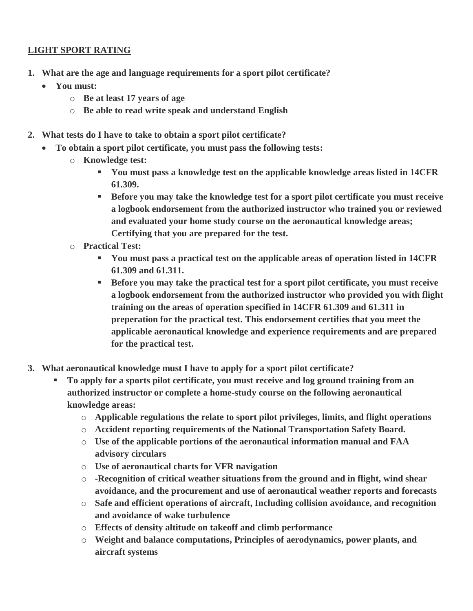## **LIGHT SPORT RATING**

- **1. What are the age and language requirements for a sport pilot certificate?**
	- **You must:** 
		- o **Be at least 17 years of age**
		- o **Be able to read write speak and understand English**
- **2. What tests do I have to take to obtain a sport pilot certificate?**
	- **To obtain a sport pilot certificate, you must pass the following tests:**
		- o **Knowledge test:** 
			- **You must pass a knowledge test on the applicable knowledge areas listed in 14CFR 61.309.**
			- **Before you may take the knowledge test for a sport pilot certificate you must receive a logbook endorsement from the authorized instructor who trained you or reviewed and evaluated your home study course on the aeronautical knowledge areas; Certifying that you are prepared for the test.**
		- o **Practical Test:** 
			- **You must pass a practical test on the applicable areas of operation listed in 14CFR 61.309 and 61.311.**
			- **Before you may take the practical test for a sport pilot certificate, you must receive a logbook endorsement from the authorized instructor who provided you with flight training on the areas of operation specified in 14CFR 61.309 and 61.311 in preperation for the practical test. This endorsement certifies that you meet the applicable aeronautical knowledge and experience requirements and are prepared for the practical test.**
- **3. What aeronautical knowledge must I have to apply for a sport pilot certificate?**
	- **To apply for a sports pilot certificate, you must receive and log ground training from an authorized instructor or complete a home-study course on the following aeronautical knowledge areas:**
		- o **Applicable regulations the relate to sport pilot privileges, limits, and flight operations**
		- o **Accident reporting requirements of the National Transportation Safety Board.**
		- o **Use of the applicable portions of the aeronautical information manual and FAA advisory circulars**
		- o **Use of aeronautical charts for VFR navigation**
		- o **-Recognition of critical weather situations from the ground and in flight, wind shear avoidance, and the procurement and use of aeronautical weather reports and forecasts**
		- o **Safe and efficient operations of aircraft, Including collision avoidance, and recognition and avoidance of wake turbulence**
		- o **Effects of density altitude on takeoff and climb performance**
		- o **Weight and balance computations, Principles of aerodynamics, power plants, and aircraft systems**